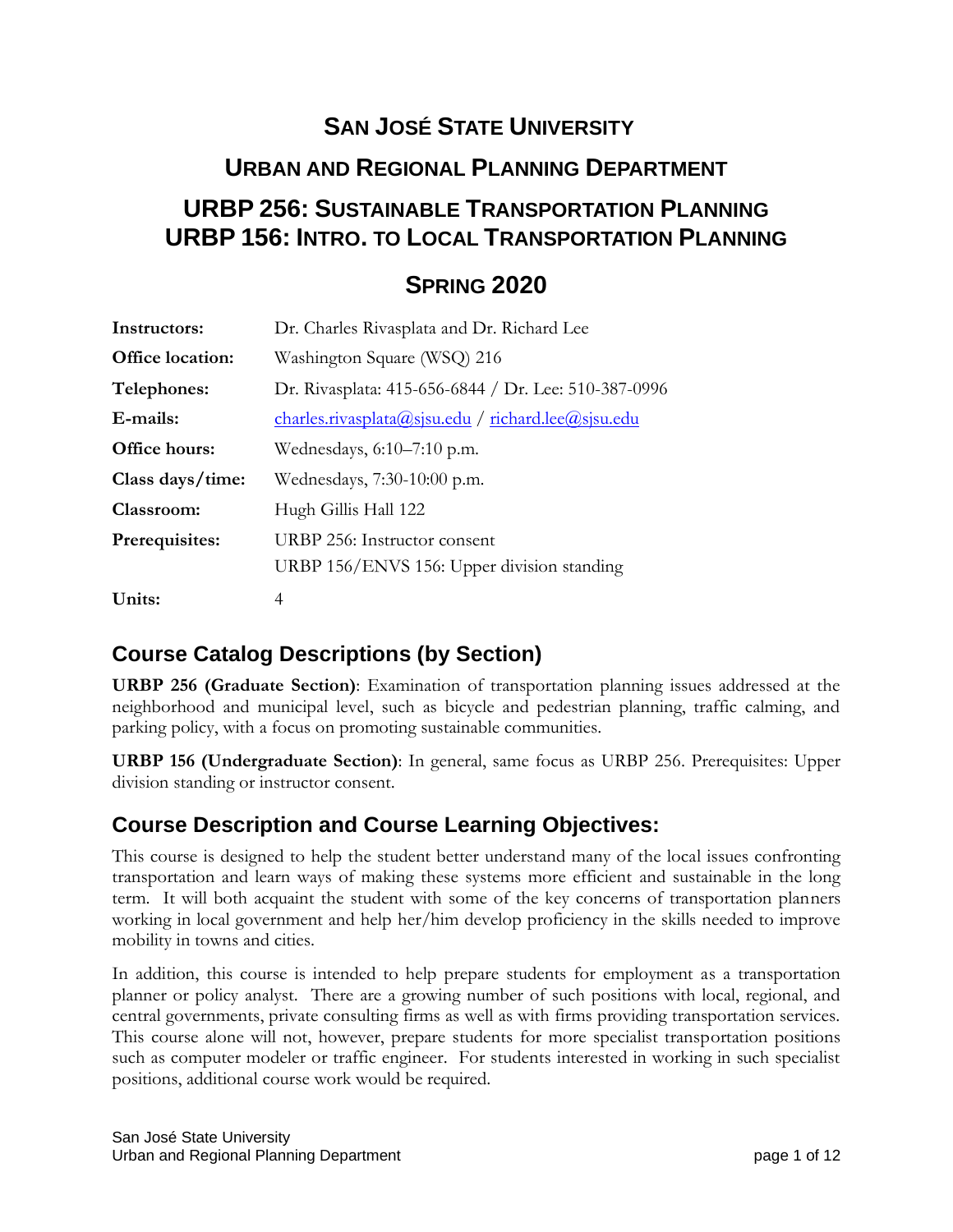# **SAN JOSÉ STATE UNIVERSITY URBAN AND REGIONAL PLANNING DEPARTMENT URBP 256: SUSTAINABLE TRANSPORTATION PLANNING URBP 156: INTRO. TO LOCAL TRANSPORTATION PLANNING**

# **SPRING 2020**

| Instructors:            | Dr. Charles Rivasplata and Dr. Richard Lee           |
|-------------------------|------------------------------------------------------|
| <b>Office location:</b> | Washington Square (WSQ) 216                          |
| Telephones:             | Dr. Rivasplata: 415-656-6844 / Dr. Lee: 510-387-0996 |
| E-mails:                | charles.rivasplata@sjsu.edu / richard.lee@sjsu.edu   |
| Office hours:           | Wednesdays, 6:10–7:10 p.m.                           |
| Class days/time:        | Wednesdays, 7:30-10:00 p.m.                          |
| Classroom:              | Hugh Gillis Hall 122                                 |
| Prerequisites:          | URBP 256: Instructor consent                         |
|                         | URBP 156/ENVS 156: Upper division standing           |
| Units:                  | 4                                                    |

# **Course Catalog Descriptions (by Section)**

**URBP 256 (Graduate Section)**: Examination of transportation planning issues addressed at the neighborhood and municipal level, such as bicycle and pedestrian planning, traffic calming, and parking policy, with a focus on promoting sustainable communities.

**URBP 156 (Undergraduate Section)**: In general, same focus as URBP 256. Prerequisites: Upper division standing or instructor consent.

# **Course Description and Course Learning Objectives:**

This course is designed to help the student better understand many of the local issues confronting transportation and learn ways of making these systems more efficient and sustainable in the long term. It will both acquaint the student with some of the key concerns of transportation planners working in local government and help her/him develop proficiency in the skills needed to improve mobility in towns and cities.

In addition, this course is intended to help prepare students for employment as a transportation planner or policy analyst. There are a growing number of such positions with local, regional, and central governments, private consulting firms as well as with firms providing transportation services. This course alone will not, however, prepare students for more specialist transportation positions such as computer modeler or traffic engineer. For students interested in working in such specialist positions, additional course work would be required.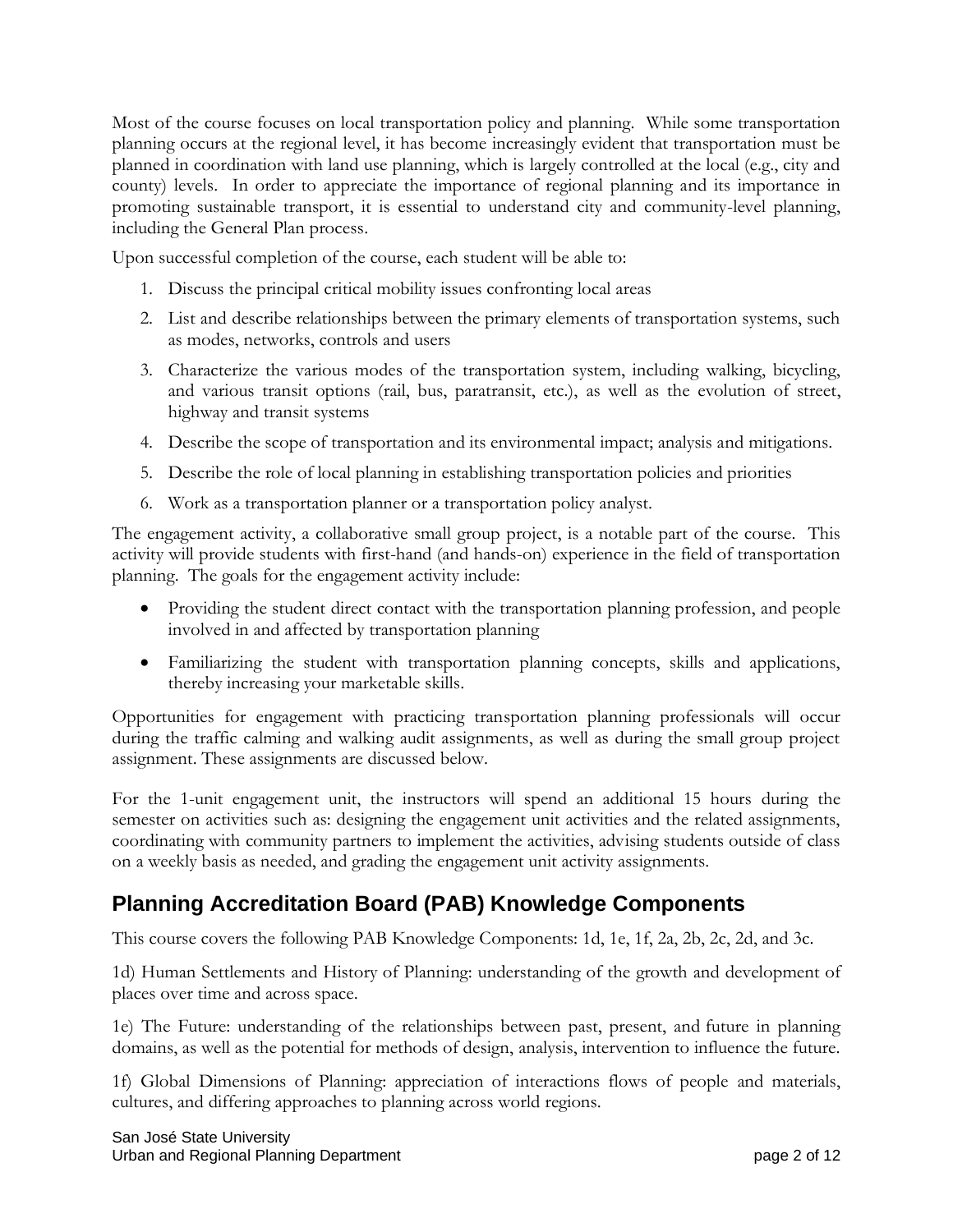Most of the course focuses on local transportation policy and planning. While some transportation planning occurs at the regional level, it has become increasingly evident that transportation must be planned in coordination with land use planning, which is largely controlled at the local (e.g., city and county) levels. In order to appreciate the importance of regional planning and its importance in promoting sustainable transport, it is essential to understand city and community-level planning, including the General Plan process.

Upon successful completion of the course, each student will be able to:

- 1. Discuss the principal critical mobility issues confronting local areas
- 2. List and describe relationships between the primary elements of transportation systems, such as modes, networks, controls and users
- 3. Characterize the various modes of the transportation system, including walking, bicycling, and various transit options (rail, bus, paratransit, etc.), as well as the evolution of street, highway and transit systems
- 4. Describe the scope of transportation and its environmental impact; analysis and mitigations.
- 5. Describe the role of local planning in establishing transportation policies and priorities
- 6. Work as a transportation planner or a transportation policy analyst.

The engagement activity, a collaborative small group project, is a notable part of the course. This activity will provide students with first-hand (and hands-on) experience in the field of transportation planning. The goals for the engagement activity include:

- Providing the student direct contact with the transportation planning profession, and people involved in and affected by transportation planning
- Familiarizing the student with transportation planning concepts, skills and applications, thereby increasing your marketable skills.

Opportunities for engagement with practicing transportation planning professionals will occur during the traffic calming and walking audit assignments, as well as during the small group project assignment. These assignments are discussed below.

For the 1-unit engagement unit, the instructors will spend an additional 15 hours during the semester on activities such as: designing the engagement unit activities and the related assignments, coordinating with community partners to implement the activities, advising students outside of class on a weekly basis as needed, and grading the engagement unit activity assignments.

# **Planning Accreditation Board (PAB) Knowledge Components**

This course covers the following PAB Knowledge Components: 1d, 1e, 1f, 2a, 2b, 2c, 2d, and 3c.

1d) Human Settlements and History of Planning: understanding of the growth and development of places over time and across space.

1e) The Future: understanding of the relationships between past, present, and future in planning domains, as well as the potential for methods of design, analysis, intervention to influence the future.

1f) Global Dimensions of Planning: appreciation of interactions flows of people and materials, cultures, and differing approaches to planning across world regions.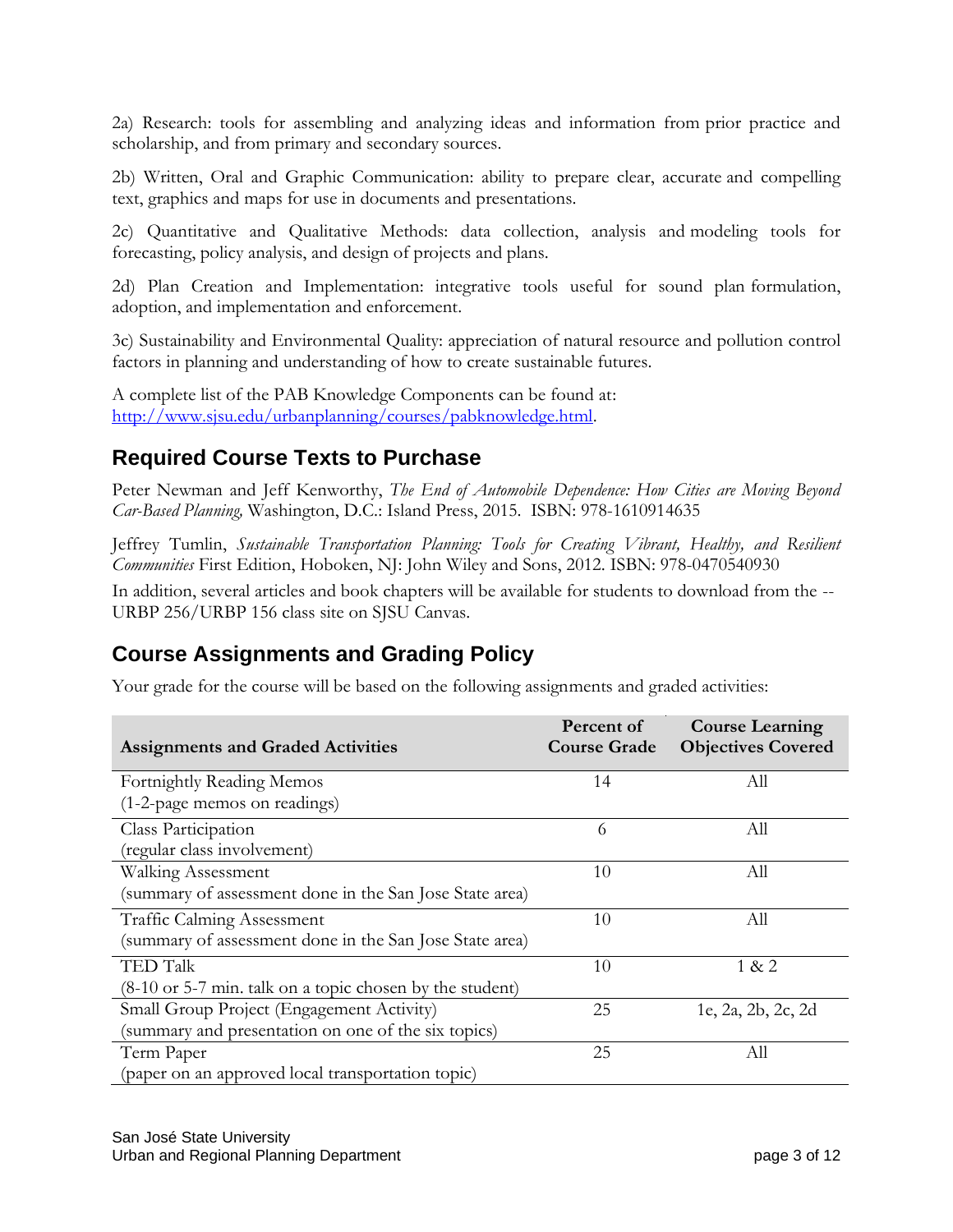2a) Research: tools for assembling and analyzing ideas and information from prior practice and scholarship, and from primary and secondary sources.

2b) Written, Oral and Graphic Communication: ability to prepare clear, accurate and compelling text, graphics and maps for use in documents and presentations.

2c) Quantitative and Qualitative Methods: data collection, analysis and modeling tools for forecasting, policy analysis, and design of projects and plans.

2d) Plan Creation and Implementation: integrative tools useful for sound plan formulation, adoption, and implementation and enforcement.

3c) Sustainability and Environmental Quality: appreciation of natural resource and pollution control factors in planning and understanding of how to create sustainable futures.

A complete list of the PAB Knowledge Components can be found at: [http://www.sjsu.edu/urbanplanning/courses/pabknowledge.html.](http://www.sjsu.edu/urbanplanning/courses/pabknowledge.html)

#### **Required Course Texts to Purchase**

Peter Newman and Jeff Kenworthy, *The End of Automobile Dependence: How Cities are Moving Beyond Car-Based Planning,* Washington, D.C.: Island Press, 2015. ISBN: 978-1610914635

Jeffrey Tumlin, *Sustainable Transportation Planning: Tools for Creating Vibrant, Healthy, and Resilient Communities* First Edition, Hoboken, NJ: John Wiley and Sons, 2012. ISBN: 978-0470540930

In addition, several articles and book chapters will be available for students to download from the -- URBP 256/URBP 156 class site on SJSU Canvas.

# **Course Assignments and Grading Policy**

Your grade for the course will be based on the following assignments and graded activities:

| <b>Assignments and Graded Activities</b>                    | Percent of<br><b>Course Grade</b> | <b>Course Learning</b><br><b>Objectives Covered</b> |
|-------------------------------------------------------------|-----------------------------------|-----------------------------------------------------|
| Fortnightly Reading Memos                                   | 14                                | All                                                 |
| (1-2-page memos on readings)                                |                                   |                                                     |
| Class Participation                                         | 6                                 | All                                                 |
| (regular class involvement)                                 |                                   |                                                     |
| <b>Walking Assessment</b>                                   | 10                                | All                                                 |
| (summary of assessment done in the San Jose State area)     |                                   |                                                     |
| <b>Traffic Calming Assessment</b>                           | 10                                | All                                                 |
| (summary of assessment done in the San Jose State area)     |                                   |                                                     |
| <b>TED Talk</b>                                             | 10                                | 1 & 2                                               |
| $(8-10)$ or 5-7 min. talk on a topic chosen by the student) |                                   |                                                     |
| Small Group Project (Engagement Activity)                   | 25                                | 1e, 2a, 2b, 2c, 2d                                  |
| (summary and presentation on one of the six topics)         |                                   |                                                     |
| Term Paper                                                  | 25                                | All                                                 |
| (paper on an approved local transportation topic)           |                                   |                                                     |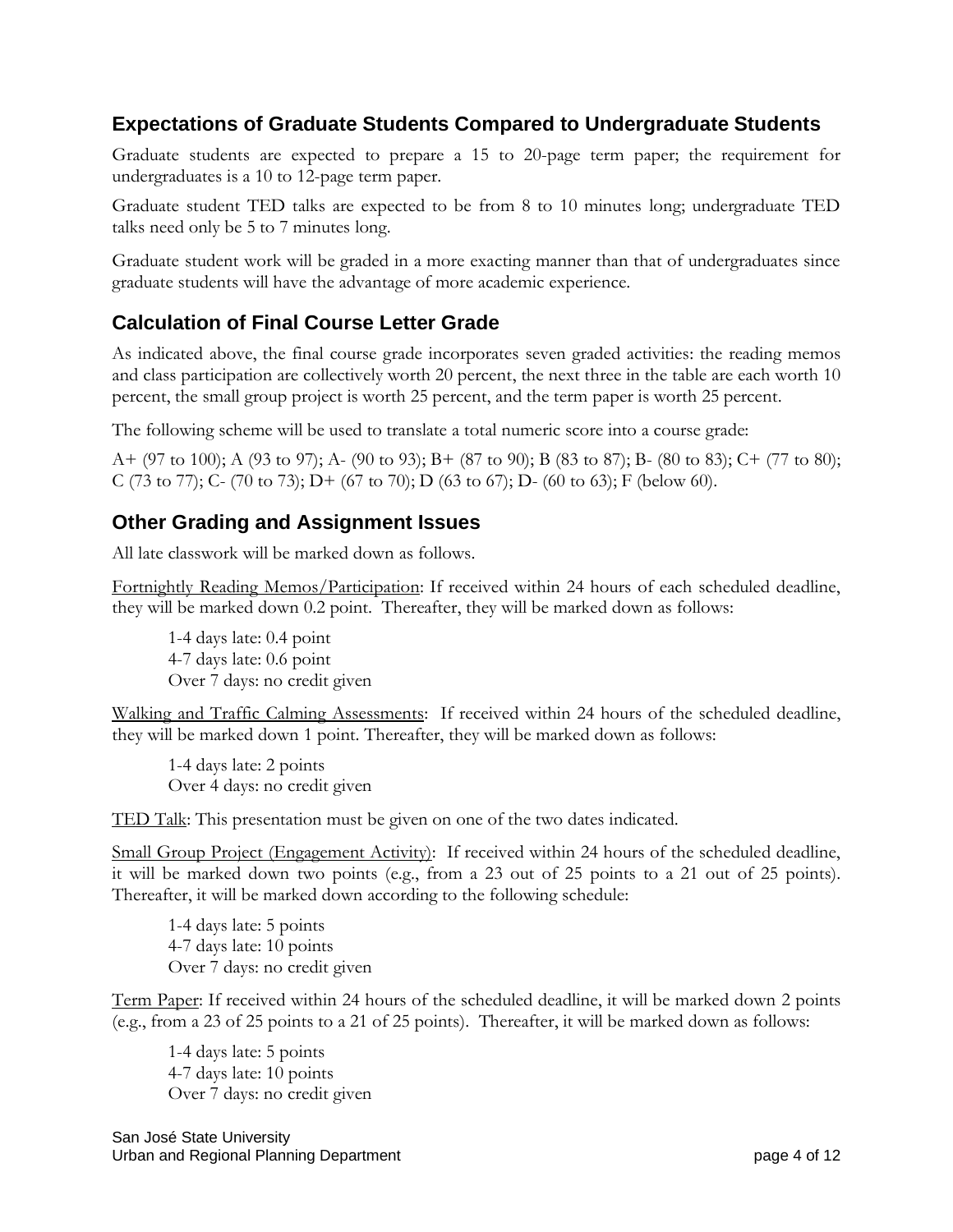#### **Expectations of Graduate Students Compared to Undergraduate Students**

Graduate students are expected to prepare a 15 to 20-page term paper; the requirement for undergraduates is a 10 to 12-page term paper.

Graduate student TED talks are expected to be from 8 to 10 minutes long; undergraduate TED talks need only be 5 to 7 minutes long.

Graduate student work will be graded in a more exacting manner than that of undergraduates since graduate students will have the advantage of more academic experience.

#### **Calculation of Final Course Letter Grade**

As indicated above, the final course grade incorporates seven graded activities: the reading memos and class participation are collectively worth 20 percent, the next three in the table are each worth 10 percent, the small group project is worth 25 percent, and the term paper is worth 25 percent.

The following scheme will be used to translate a total numeric score into a course grade:

A+ (97 to 100); A (93 to 97); A- (90 to 93); B+ (87 to 90); B (83 to 87); B- (80 to 83); C+ (77 to 80); C (73 to 77); C- (70 to 73); D+ (67 to 70); D (63 to 67); D- (60 to 63); F (below 60).

#### **Other Grading and Assignment Issues**

All late classwork will be marked down as follows.

Fortnightly Reading Memos/Participation: If received within 24 hours of each scheduled deadline, they will be marked down 0.2 point. Thereafter, they will be marked down as follows:

1-4 days late: 0.4 point 4-7 days late: 0.6 point Over 7 days: no credit given

Walking and Traffic Calming Assessments: If received within 24 hours of the scheduled deadline, they will be marked down 1 point. Thereafter, they will be marked down as follows:

1-4 days late: 2 points Over 4 days: no credit given

TED Talk: This presentation must be given on one of the two dates indicated.

Small Group Project (Engagement Activity): If received within 24 hours of the scheduled deadline, it will be marked down two points (e.g., from a 23 out of 25 points to a 21 out of 25 points). Thereafter, it will be marked down according to the following schedule:

1-4 days late: 5 points 4-7 days late: 10 points Over 7 days: no credit given

Term Paper: If received within 24 hours of the scheduled deadline, it will be marked down 2 points (e.g., from a 23 of 25 points to a 21 of 25 points). Thereafter, it will be marked down as follows:

1-4 days late: 5 points 4-7 days late: 10 points Over 7 days: no credit given

San José State University Urban and Regional Planning Department **page 4 of 12** and 12 and 12 and 12 and 12 and 12 and 12 and 12 and 12 and 12 and 12 and 12 and 12 and 12 and 12 and 12 and 12 and 12 and 12 and 12 and 12 and 12 and 12 and 12 and 12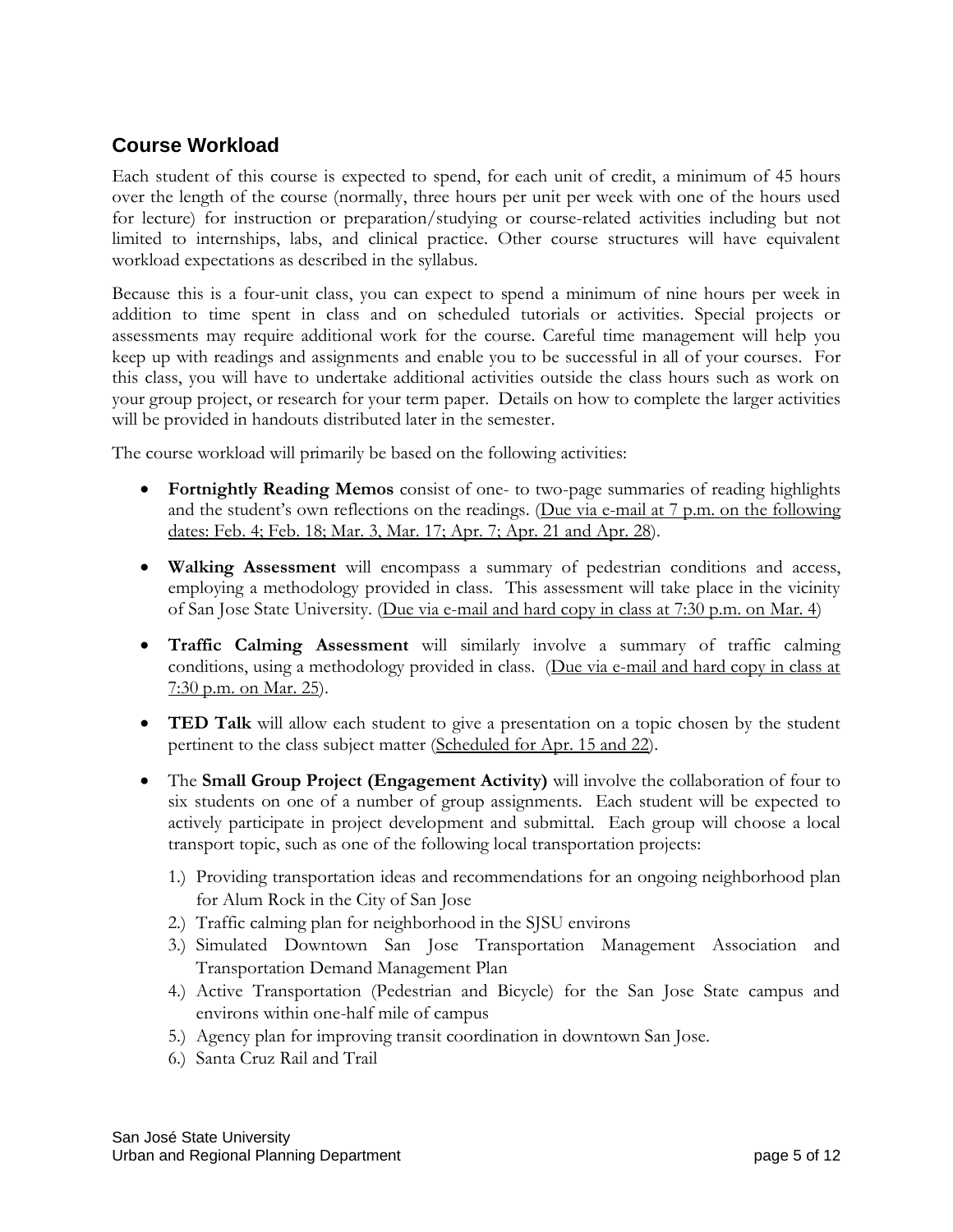#### **Course Workload**

Each student of this course is expected to spend, for each unit of credit, a minimum of 45 hours over the length of the course (normally, three hours per unit per week with one of the hours used for lecture) for instruction or preparation/studying or course-related activities including but not limited to internships, labs, and clinical practice. Other course structures will have equivalent workload expectations as described in the syllabus.

Because this is a four-unit class, you can expect to spend a minimum of nine hours per week in addition to time spent in class and on scheduled tutorials or activities. Special projects or assessments may require additional work for the course. Careful time management will help you keep up with readings and assignments and enable you to be successful in all of your courses. For this class, you will have to undertake additional activities outside the class hours such as work on your group project, or research for your term paper. Details on how to complete the larger activities will be provided in handouts distributed later in the semester.

The course workload will primarily be based on the following activities:

- **Fortnightly Reading Memos** consist of one- to two-page summaries of reading highlights and the student's own reflections on the readings. (Due via e-mail at 7 p.m. on the following dates: Feb. 4; Feb. 18; Mar. 3, Mar. 17; Apr. 7; Apr. 21 and Apr. 28).
- **Walking Assessment** will encompass a summary of pedestrian conditions and access, employing a methodology provided in class. This assessment will take place in the vicinity of San Jose State University. (Due via e-mail and hard copy in class at 7:30 p.m. on Mar. 4)
- **Traffic Calming Assessment** will similarly involve a summary of traffic calming conditions, using a methodology provided in class. (Due via e-mail and hard copy in class at 7:30 p.m. on Mar. 25).
- **TED Talk** will allow each student to give a presentation on a topic chosen by the student pertinent to the class subject matter (Scheduled for Apr. 15 and 22).
- The **Small Group Project (Engagement Activity)** will involve the collaboration of four to six students on one of a number of group assignments. Each student will be expected to actively participate in project development and submittal. Each group will choose a local transport topic, such as one of the following local transportation projects:
	- 1.) Providing transportation ideas and recommendations for an ongoing neighborhood plan for Alum Rock in the City of San Jose
	- 2.) Traffic calming plan for neighborhood in the SJSU environs
	- 3.) Simulated Downtown San Jose Transportation Management Association and Transportation Demand Management Plan
	- 4.) Active Transportation (Pedestrian and Bicycle) for the San Jose State campus and environs within one-half mile of campus
	- 5.) Agency plan for improving transit coordination in downtown San Jose.
	- 6.) Santa Cruz Rail and Trail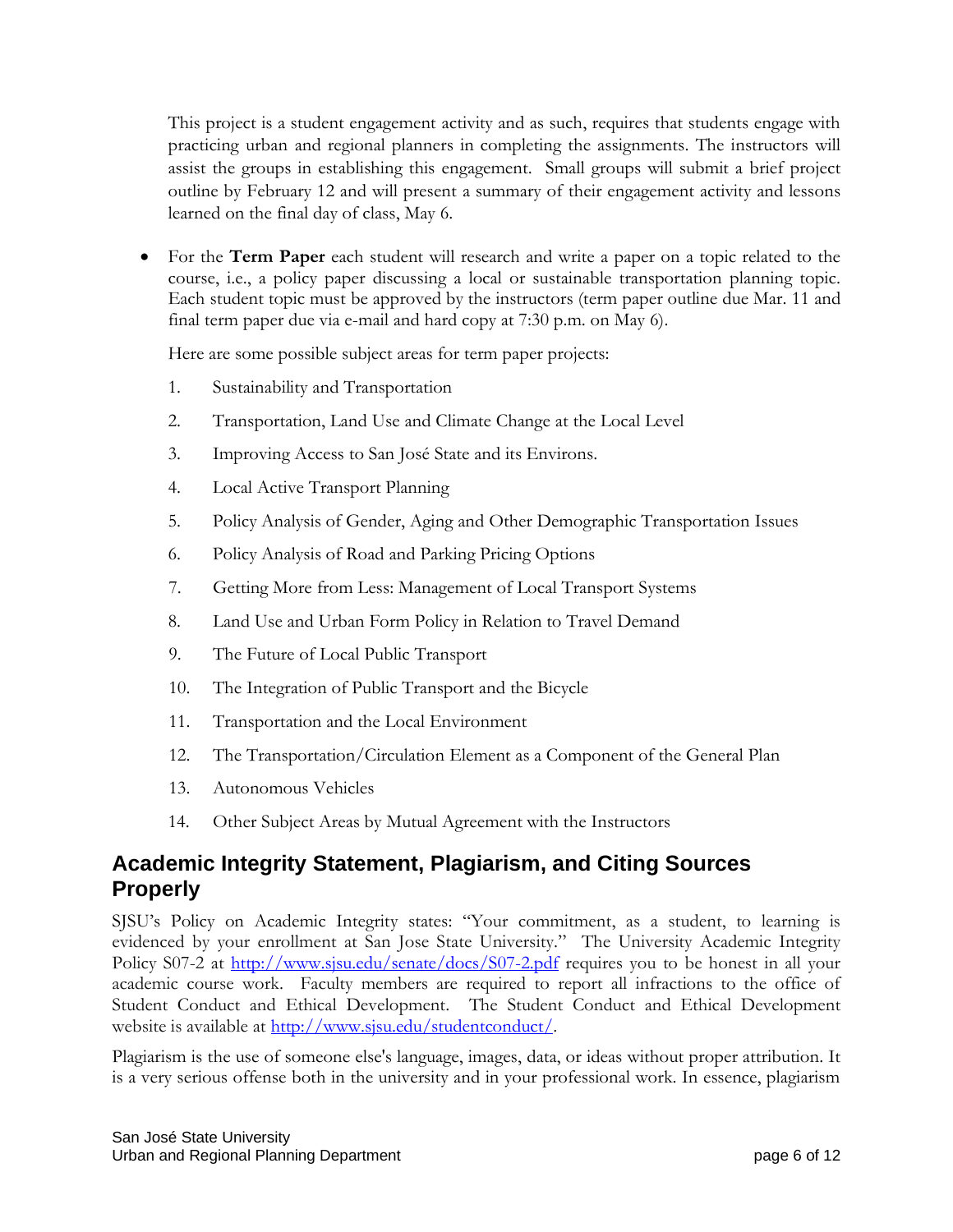This project is a student engagement activity and as such, requires that students engage with practicing urban and regional planners in completing the assignments. The instructors will assist the groups in establishing this engagement. Small groups will submit a brief project outline by February 12 and will present a summary of their engagement activity and lessons learned on the final day of class, May 6.

• For the **Term Paper** each student will research and write a paper on a topic related to the course, i.e., a policy paper discussing a local or sustainable transportation planning topic. Each student topic must be approved by the instructors (term paper outline due Mar. 11 and final term paper due via e-mail and hard copy at 7:30 p.m. on May 6).

Here are some possible subject areas for term paper projects:

- 1. Sustainability and Transportation
- 2. Transportation, Land Use and Climate Change at the Local Level
- 3. Improving Access to San José State and its Environs.
- 4. Local Active Transport Planning
- 5. Policy Analysis of Gender, Aging and Other Demographic Transportation Issues
- 6. Policy Analysis of Road and Parking Pricing Options
- 7. Getting More from Less: Management of Local Transport Systems
- 8. Land Use and Urban Form Policy in Relation to Travel Demand
- 9. The Future of Local Public Transport
- 10. The Integration of Public Transport and the Bicycle
- 11. Transportation and the Local Environment
- 12. The Transportation/Circulation Element as a Component of the General Plan
- 13. Autonomous Vehicles
- 14. Other Subject Areas by Mutual Agreement with the Instructors

## **Academic Integrity Statement, Plagiarism, and Citing Sources Properly**

SJSU's Policy on Academic Integrity states: "Your commitment, as a student, to learning is evidenced by your enrollment at San Jose State University." The [University Academic Integrity](http://www.sjsu.edu/senate/docs/S07-2.pdf)  [Policy](http://www.sjsu.edu/senate/docs/S07-2.pdf) S07-2 at<http://www.sjsu.edu/senate/docs/S07-2.pdf> requires you to be honest in all your academic course work. Faculty members are required to report all infractions to the office of Student Conduct and Ethical Development. The [Student Conduct and Ethical Development](http://www.sjsu.edu/studentconduct/)  [website](http://www.sjsu.edu/studentconduct/) is available at [http://www.sjsu.edu/studentconduct/.](http://www.sjsu.edu/studentconduct/)

Plagiarism is the use of someone else's language, images, data, or ideas without proper attribution. It is a very serious offense both in the university and in your professional work. In essence, plagiarism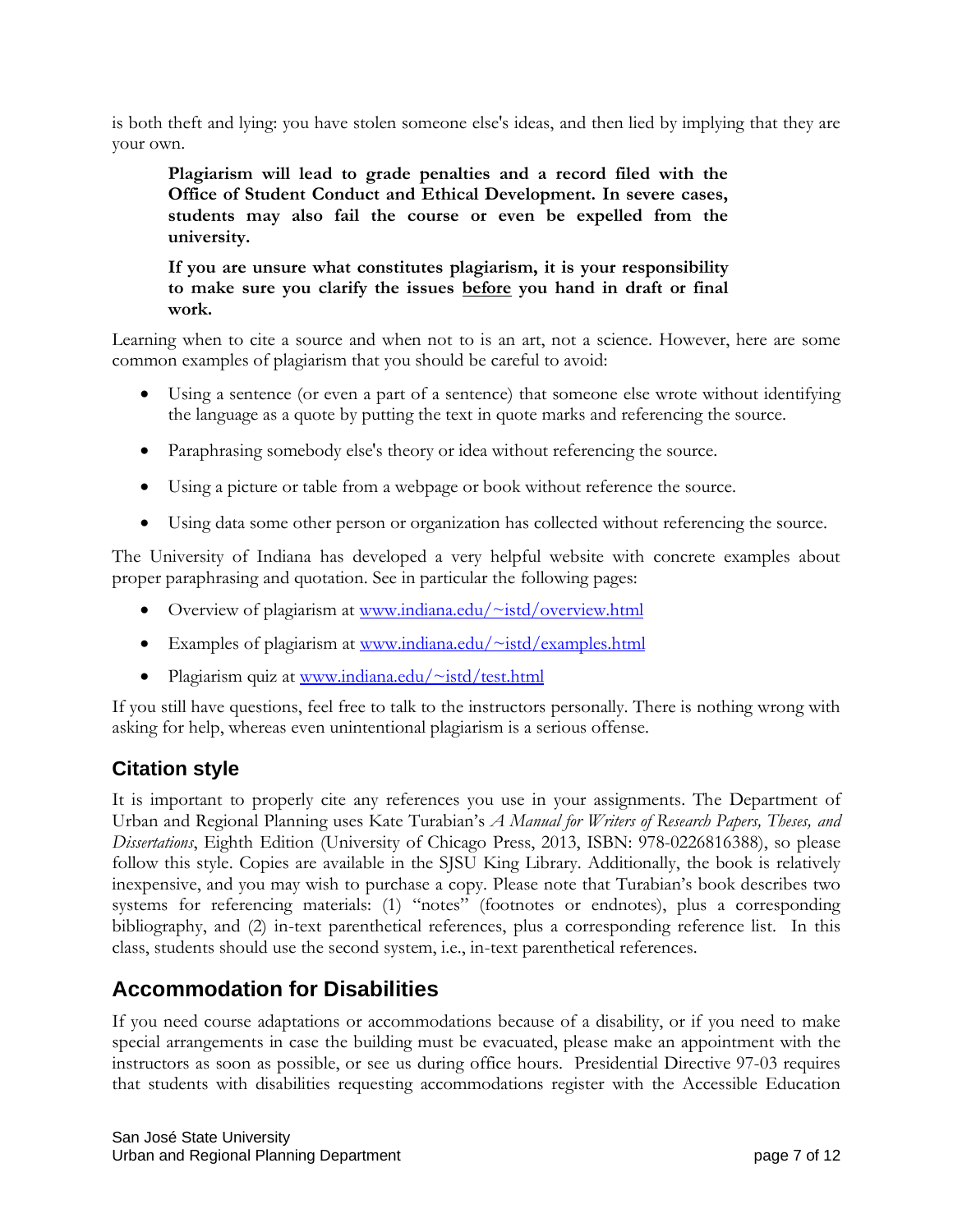is both theft and lying: you have stolen someone else's ideas, and then lied by implying that they are your own.

**Plagiarism will lead to grade penalties and a record filed with the Office of Student Conduct and Ethical Development. In severe cases, students may also fail the course or even be expelled from the university.**

**If you are unsure what constitutes plagiarism, it is your responsibility to make sure you clarify the issues before you hand in draft or final work.**

Learning when to cite a source and when not to is an art, not a science. However, here are some common examples of plagiarism that you should be careful to avoid:

- Using a sentence (or even a part of a sentence) that someone else wrote without identifying the language as a quote by putting the text in quote marks and referencing the source.
- Paraphrasing somebody else's theory or idea without referencing the source.
- Using a picture or table from a webpage or book without reference the source.
- Using data some other person or organization has collected without referencing the source.

The University of Indiana has developed a very helpful website with concrete examples about proper paraphrasing and quotation. See in particular the following pages:

- Overview of plagiarism at [www.indiana.edu/~istd/overview.html](http://www.indiana.edu/~istd/overview.html)
- Examples of plagiarism at [www.indiana.edu/~istd/examples.html](http://www.indiana.edu/~istd/examples.html)
- Plagiarism quiz at [www.indiana.edu/~istd/test.html](http://www.indiana.edu/~istd/test.html)

If you still have questions, feel free to talk to the instructors personally. There is nothing wrong with asking for help, whereas even unintentional plagiarism is a serious offense.

#### **Citation style**

It is important to properly cite any references you use in your assignments. The Department of Urban and Regional Planning uses Kate Turabian's *A Manual for Writers of Research Papers, Theses, and Dissertations*, Eighth Edition (University of Chicago Press, 2013, ISBN: 978-0226816388), so please follow this style. Copies are available in the SJSU King Library. Additionally, the book is relatively inexpensive, and you may wish to purchase a copy. Please note that Turabian's book describes two systems for referencing materials: (1) "notes" (footnotes or endnotes), plus a corresponding bibliography, and (2) in-text parenthetical references, plus a corresponding reference list. In this class, students should use the second system, i.e., in-text parenthetical references.

## **Accommodation for Disabilities**

If you need course adaptations or accommodations because of a disability, or if you need to make special arrangements in case the building must be evacuated, please make an appointment with the instructors as soon as possible, or see us during office hours. Presidential Directive 97-03 requires that students with disabilities requesting accommodations register with the Accessible Education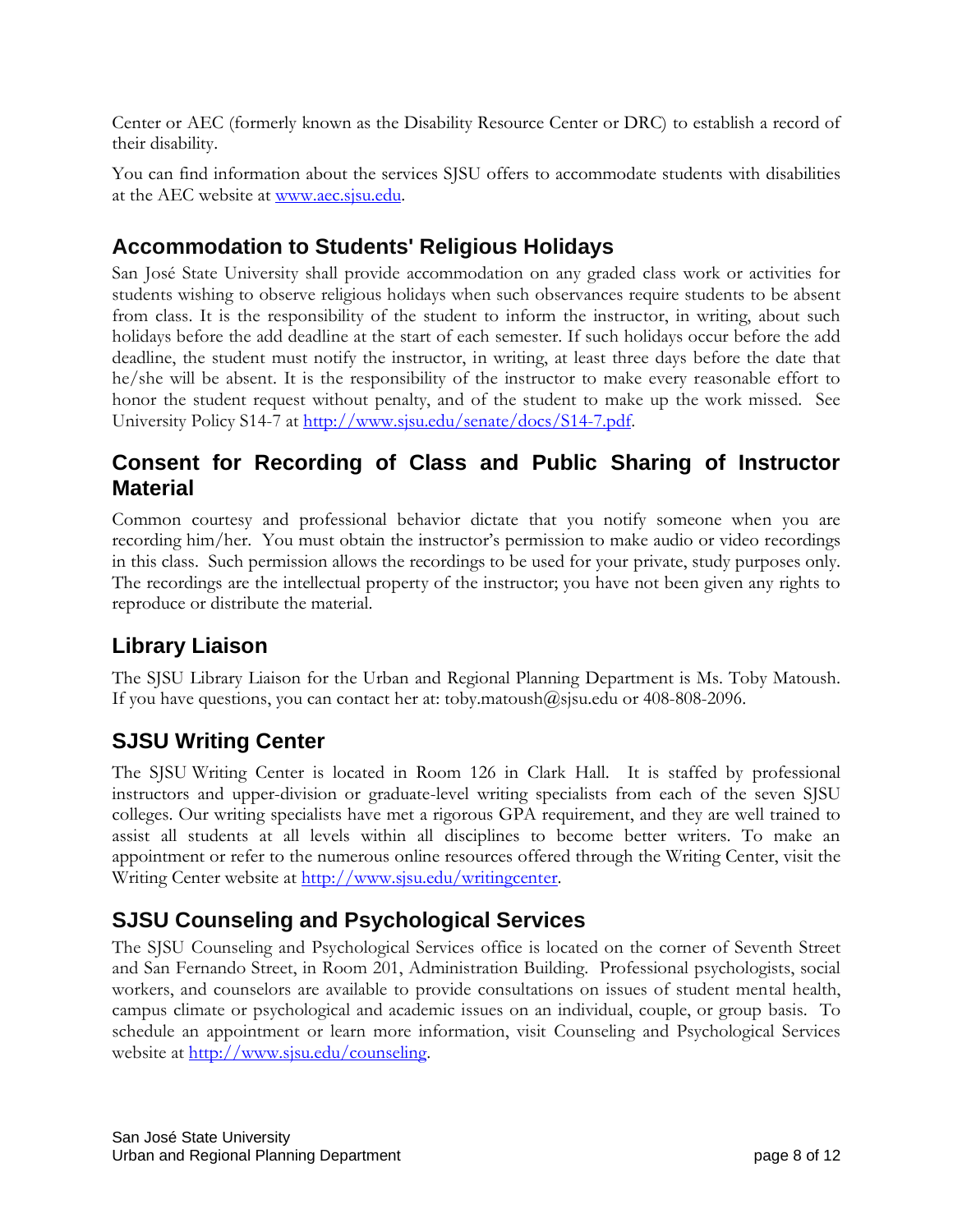Center or AEC (formerly known as the Disability Resource Center or DRC) to establish a record of their disability.

You can find information about the services SJSU offers to accommodate students with disabilities at the AEC website at [www.aec.sjsu.edu.](http://www.aec.sjsu.edu/)

## **Accommodation to Students' Religious Holidays**

San José State University shall provide accommodation on any graded class work or activities for students wishing to observe religious holidays when such observances require students to be absent from class. It is the responsibility of the student to inform the instructor, in writing, about such holidays before the add deadline at the start of each semester. If such holidays occur before the add deadline, the student must notify the instructor, in writing, at least three days before the date that he/she will be absent. It is the responsibility of the instructor to make every reasonable effort to honor the student request without penalty, and of the student to make up the work missed. See [University Policy S14-7](http://www.sjsu.edu/senate/docs/S14-7.pdf) at [http://www.sjsu.edu/senate/docs/S14-7.pdf.](http://www.sjsu.edu/senate/docs/S14-7.pdf)

## **Consent for Recording of Class and Public Sharing of Instructor Material**

Common courtesy and professional behavior dictate that you notify someone when you are recording him/her. You must obtain the instructor's permission to make audio or video recordings in this class. Such permission allows the recordings to be used for your private, study purposes only. The recordings are the intellectual property of the instructor; you have not been given any rights to reproduce or distribute the material.

# **Library Liaison**

The SJSU Library Liaison for the Urban and Regional Planning Department is Ms. Toby Matoush. If you have questions, you can contact her at: [toby.matoush@sjsu.edu](mailto:toby.matoush@sjsu.edu) or 408-808-2096.

## **SJSU Writing Center**

The SJSU Writing Center is located in Room 126 in Clark Hall. It is staffed by professional instructors and upper-division or graduate-level writing specialists from each of the seven SJSU colleges. Our writing specialists have met a rigorous GPA requirement, and they are well trained to assist all students at all levels within all disciplines to become better writers. To make an appointment or refer to the numerous online resources offered through the Writing Center, visit the Writing Center website at [http://www.sjsu.edu/writingcenter.](http://www.sjsu.edu/writingcenter)

## **SJSU Counseling and Psychological Services**

The SJSU Counseling and Psychological Services office is located on the corner of Seventh Street and San Fernando Street, in Room 201, Administration Building. Professional psychologists, social workers, and counselors are available to provide consultations on issues of student mental health, campus climate or psychological and academic issues on an individual, couple, or group basis. To schedule an appointment or learn more information, visit [Counseling and Psychological Services](http://www.sjsu.edu/counseling)  [website](http://www.sjsu.edu/counseling) at [http://www.sjsu.edu/counseling.](http://www.sjsu.edu/counseling)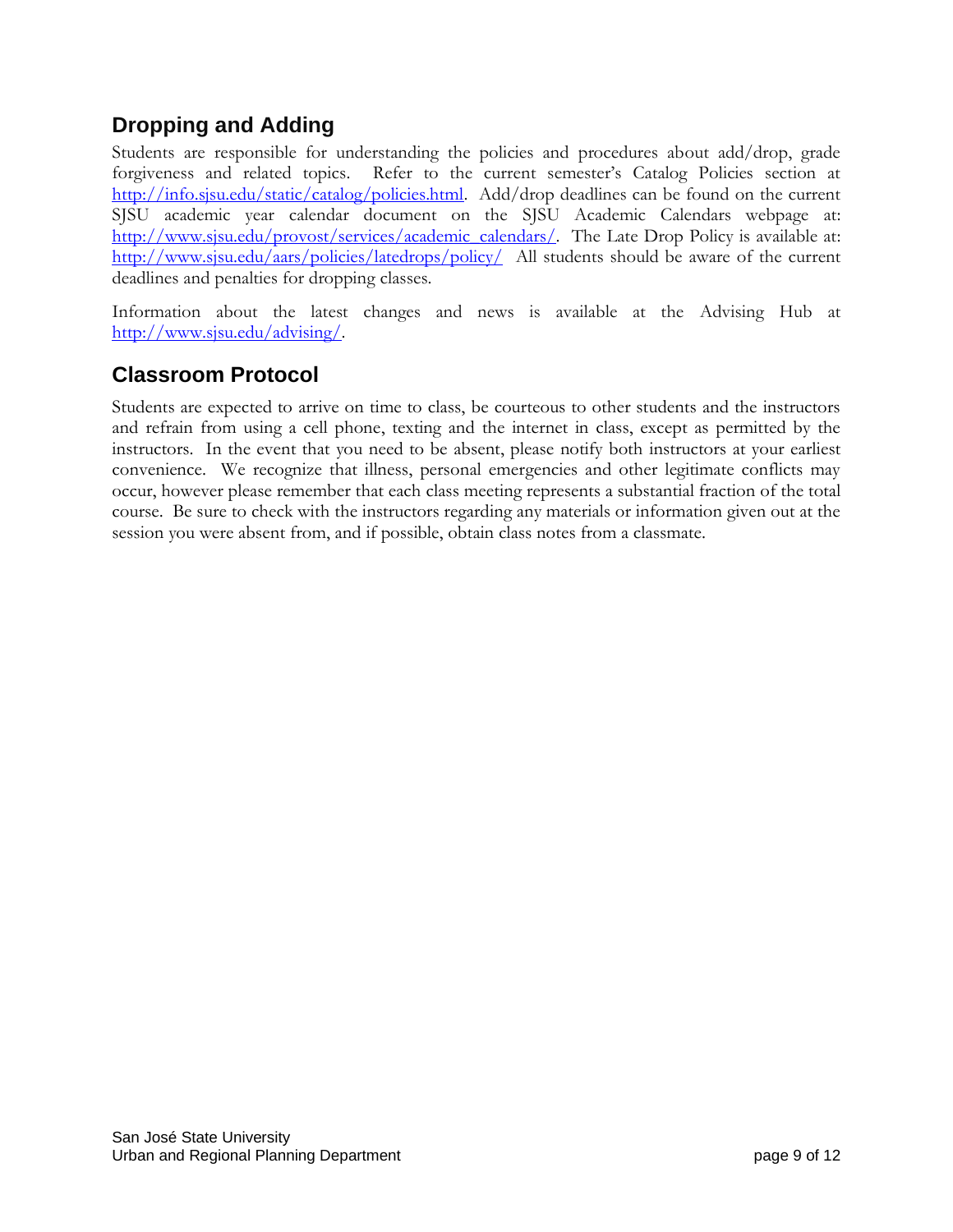# **Dropping and Adding**

Students are responsible for understanding the policies and procedures about add/drop, grade forgiveness and related topics. Refer to the current semester's [Catalog Policies](http://info.sjsu.edu/static/catalog/policies.html) section at [http://info.sjsu.edu/static/catalog/policies.html.](http://info.sjsu.edu/static/catalog/policies.html) Add/drop deadlines can be found on the current SJSU academic year calendar document on the SJSU [Academic Calendars webpage](http://www.sjsu.edu/provost/services/academic_calendars/) at: [http://www.sjsu.edu/provost/services/academic\\_calendars/.](http://www.sjsu.edu/provost/services/academic_calendars/) The [Late Drop Policy](http://www.sjsu.edu/aars/policies/latedrops/policy/) is available at: <http://www.sjsu.edu/aars/policies/latedrops/policy/> All students should be aware of the current deadlines and penalties for dropping classes.

Information about the latest changes and news is available at the [Advising Hub](http://www.sjsu.edu/advising/) at [http://www.sjsu.edu/advising/.](http://www.sjsu.edu/advising/)

## **Classroom Protocol**

Students are expected to arrive on time to class, be courteous to other students and the instructors and refrain from using a cell phone, texting and the internet in class, except as permitted by the instructors. In the event that you need to be absent, please notify both instructors at your earliest convenience. We recognize that illness, personal emergencies and other legitimate conflicts may occur, however please remember that each class meeting represents a substantial fraction of the total course. Be sure to check with the instructors regarding any materials or information given out at the session you were absent from, and if possible, obtain class notes from a classmate.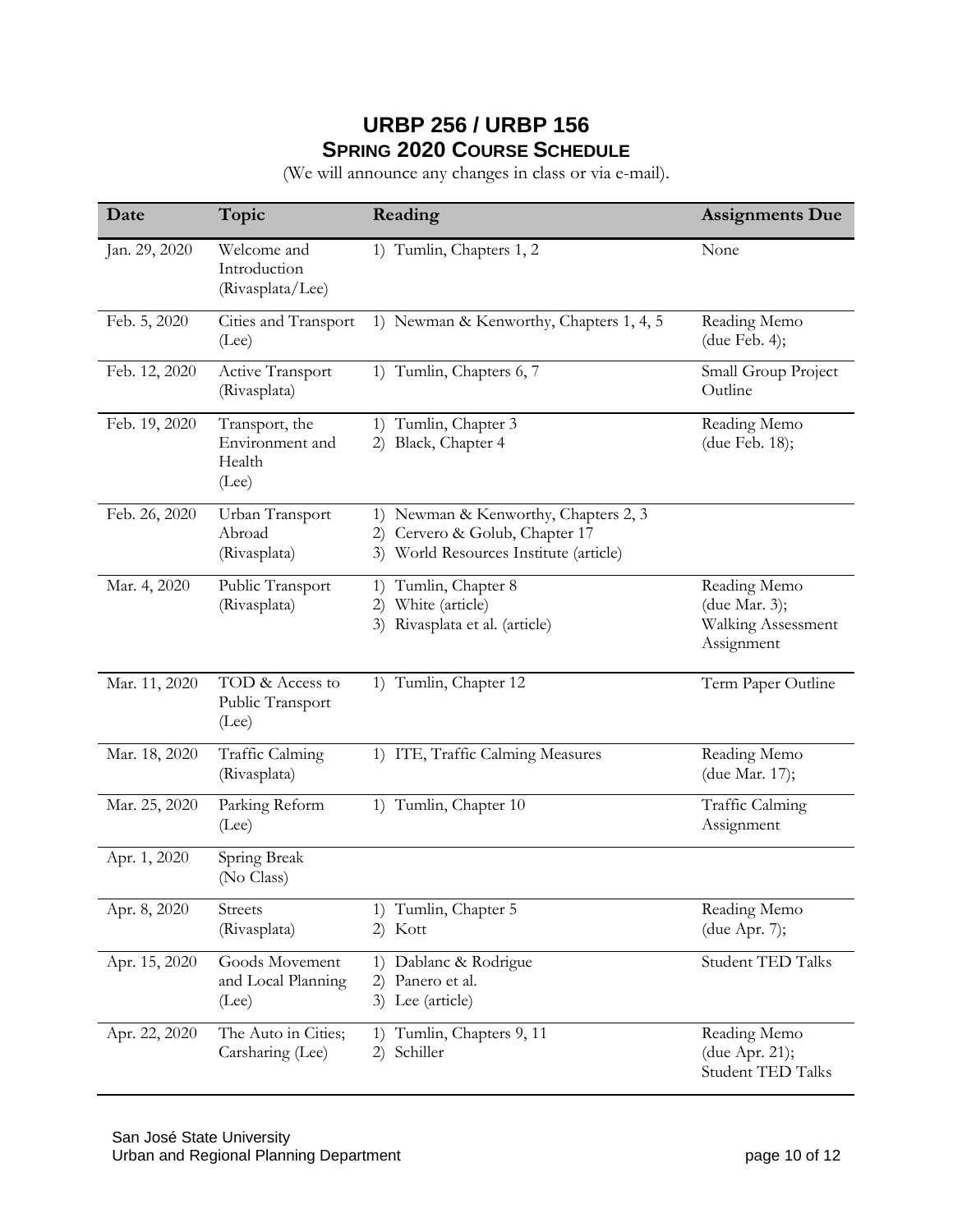## **URBP 256 / URBP 156 SPRING 2020 COURSE SCHEDULE**

(We will announce any changes in class or via e-mail).

| Date          | Topic                                                | Reading                                                                                                             | <b>Assignments Due</b>                                            |
|---------------|------------------------------------------------------|---------------------------------------------------------------------------------------------------------------------|-------------------------------------------------------------------|
| Jan. 29, 2020 | Welcome and<br>Introduction<br>(Rivasplata/Lee)      | 1) Tumlin, Chapters 1, 2                                                                                            | None                                                              |
| Feb. 5, 2020  | Cities and Transport<br>(Lee)                        | 1) Newman & Kenworthy, Chapters 1, 4, 5                                                                             | Reading Memo<br>(due Feb. 4);                                     |
| Feb. 12, 2020 | Active Transport<br>(Rivasplata)                     | 1) Tumlin, Chapters 6, 7                                                                                            | Small Group Project<br>Outline                                    |
| Feb. 19, 2020 | Transport, the<br>Environment and<br>Health<br>(Lee) | 1) Tumlin, Chapter 3<br>Black, Chapter 4<br>2)                                                                      | Reading Memo<br>(due Feb. 18);                                    |
| Feb. 26, 2020 | Urban Transport<br>Abroad<br>(Rivasplata)            | 1) Newman & Kenworthy, Chapters 2, 3<br>Cervero & Golub, Chapter 17<br>2)<br>3) World Resources Institute (article) |                                                                   |
| Mar. 4, 2020  | Public Transport<br>(Rivasplata)                     | 1) Tumlin, Chapter 8<br>White (article)<br>2)<br>Rivasplata et al. (article)<br>3)                                  | Reading Memo<br>(due Mar. 3);<br>Walking Assessment<br>Assignment |
| Mar. 11, 2020 | TOD & Access to<br>Public Transport<br>(Lee)         | 1) Tumlin, Chapter 12                                                                                               | Term Paper Outline                                                |
| Mar. 18, 2020 | Traffic Calming<br>(Rivasplata)                      | 1) ITE, Traffic Calming Measures                                                                                    | Reading Memo<br>(due Mar. 17);                                    |
| Mar. 25, 2020 | Parking Reform<br>(Lee)                              | 1) Tumlin, Chapter 10                                                                                               | Traffic Calming<br>Assignment                                     |
| Apr. 1, 2020  | Spring Break<br>(No Class)                           |                                                                                                                     |                                                                   |
| Apr. 8, 2020  | <b>Streets</b><br>(Rivasplata)                       | 1) Tumlin, Chapter 5<br>2) Kott                                                                                     | Reading Memo<br>(due Apr. 7);                                     |
| Apr. 15, 2020 | Goods Movement<br>and Local Planning<br>(Lee)        | 1) Dablanc & Rodrigue<br>Panero et al.<br>2)<br>3) Lee (article)                                                    | <b>Student TED Talks</b>                                          |
| Apr. 22, 2020 | The Auto in Cities;<br>Carsharing (Lee)              | 1) Tumlin, Chapters 9, 11<br>Schiller<br>2).                                                                        | Reading Memo<br>(due Apr. 21);<br><b>Student TED Talks</b>        |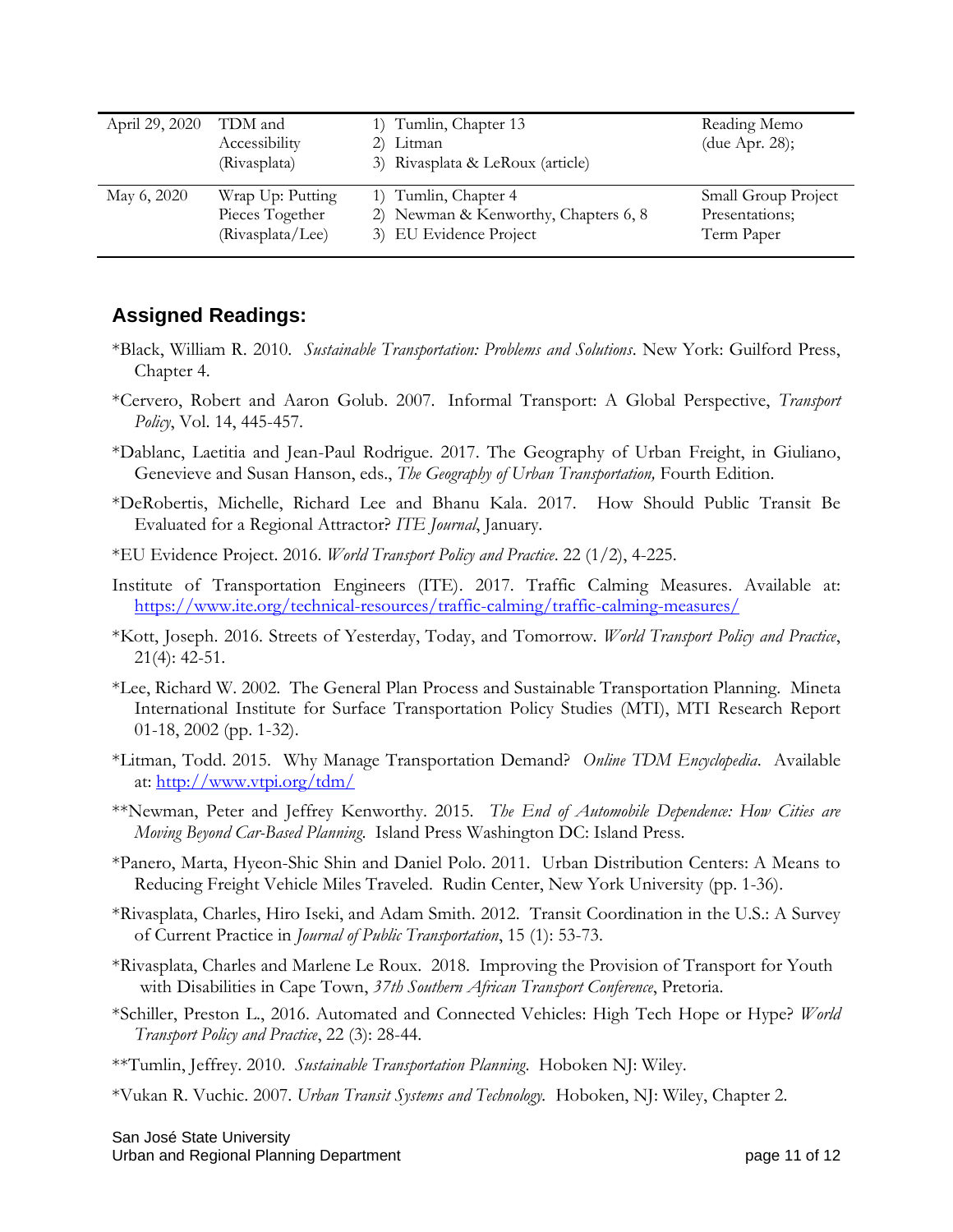| April 29, 2020 | TDM and          | 1) Tumlin, Chapter 13                | Reading Memo        |
|----------------|------------------|--------------------------------------|---------------------|
|                | Accessibility    | 2) Litman                            | (due Apr. 28);      |
|                | (Rivasplata)     | 3) Rivasplata & LeRoux (article)     |                     |
| May 6, 2020    | Wrap Up: Putting | 1) Tumlin, Chapter 4                 | Small Group Project |
|                | Pieces Together  | 2) Newman & Kenworthy, Chapters 6, 8 | Presentations;      |
|                | (Rivasplata/Lee) | 3) EU Evidence Project               | Term Paper          |

#### **Assigned Readings:**

- \*Black, William R. 2010. *Sustainable Transportation: Problems and Solutions*. New York: Guilford Press, Chapter 4.
- \*Cervero, Robert and Aaron Golub. 2007. Informal Transport: A Global Perspective, *Transport Policy*, Vol. 14, 445-457.
- \*Dablanc, Laetitia and Jean-Paul Rodrigue. 2017. The Geography of Urban Freight, in Giuliano, Genevieve and Susan Hanson, eds., *The Geography of Urban Transportation,* Fourth Edition.
- \*DeRobertis, Michelle, Richard Lee and Bhanu Kala. 2017. How Should Public Transit Be Evaluated for a Regional Attractor? *ITE Journal*, January.
- \*EU Evidence Project. 2016. *World Transport Policy and Practice*. 22 (1/2), 4-225.
- Institute of Transportation Engineers (ITE). 2017. Traffic Calming Measures. Available at: https://www.ite.org/technical-resources/traffic-calming/traffic-calming-measures/
- \*Kott, Joseph. 2016. Streets of Yesterday, Today, and Tomorrow. *World Transport Policy and Practice*, 21(4): 42-51.
- \*Lee, Richard W. 2002. The General Plan Process and Sustainable Transportation Planning. Mineta International Institute for Surface Transportation Policy Studies (MTI), MTI Research Report 01-18, 2002 (pp. 1-32).
- \*Litman, Todd. 2015. Why Manage Transportation Demand? *Online TDM Encyclopedia*. Available at:<http://www.vtpi.org/tdm/>
- \*\*Newman, Peter and Jeffrey Kenworthy. 2015. *The End of Automobile Dependence: How Cities are Moving Beyond Car-Based Planning*. Island Press Washington DC: Island Press.
- \*Panero, Marta, Hyeon-Shic Shin and Daniel Polo. 2011. Urban Distribution Centers: A Means to Reducing Freight Vehicle Miles Traveled. Rudin Center, New York University (pp. 1-36).
- \*Rivasplata, Charles, Hiro Iseki, and Adam Smith. 2012. Transit Coordination in the U.S.: A Survey of Current Practice in *Journal of Public Transportation*, 15 (1): 53-73.
- \*Rivasplata, Charles and Marlene Le Roux. 2018. Improving the Provision of Transport for Youth with Disabilities in Cape Town, *37th Southern African Transport Conference*, Pretoria.
- \*Schiller, Preston L., 2016. Automated and Connected Vehicles: High Tech Hope or Hype? *World Transport Policy and Practice*, 22 (3): 28-44.
- \*\*Tumlin, Jeffrey. 2010. *Sustainable Transportation Planning*. Hoboken NJ: Wiley.
- \*Vukan R. Vuchic. 2007. *Urban Transit Systems and Technology.* Hoboken, NJ: Wiley, Chapter 2.